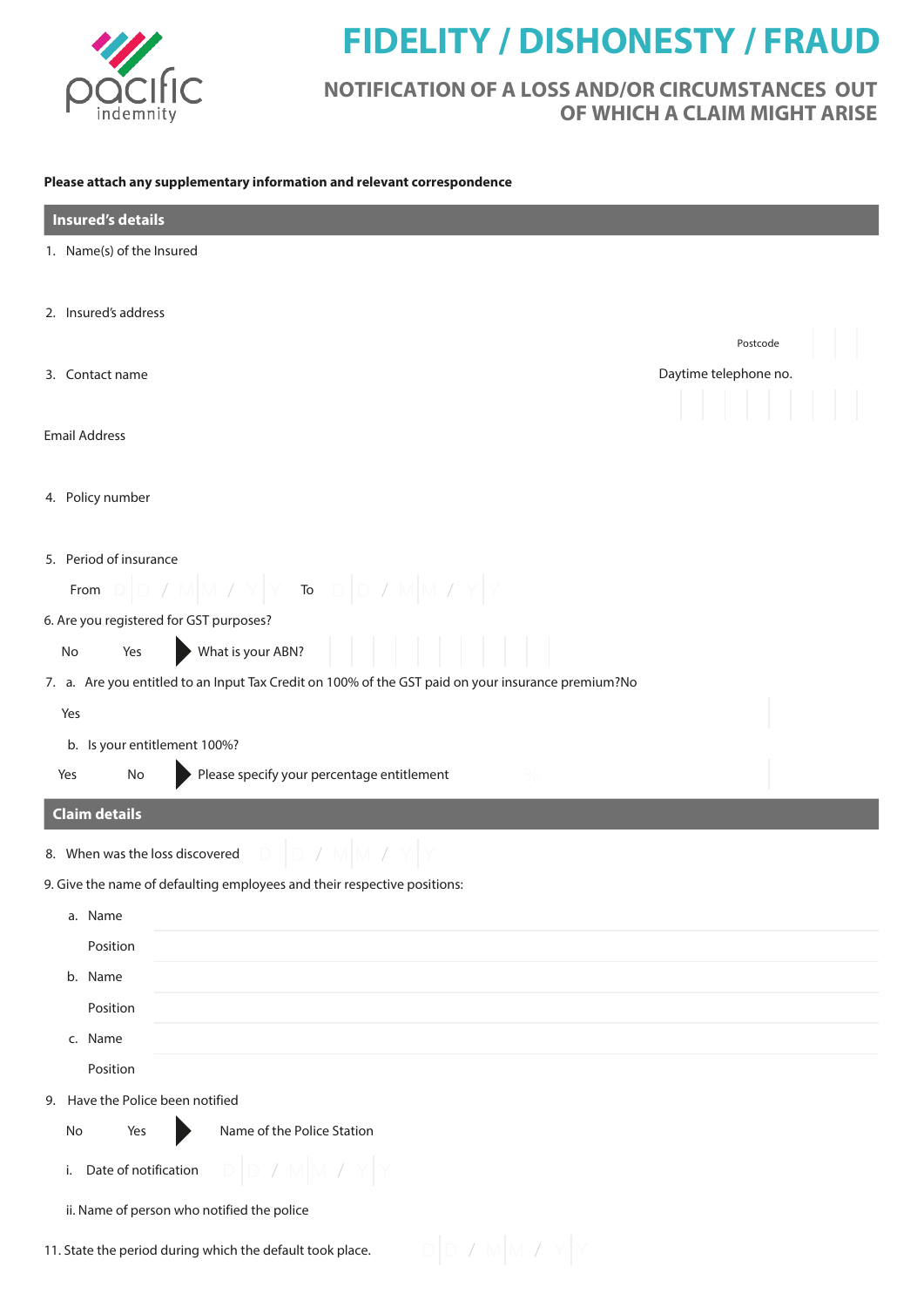

## **FIDELITY / DISHONESTY / FRAUD**

## **NOTIFICATION OF A LOSS AND/OR CIRCUMSTANCES OUT OF WHICH A CLAIM MIGHT ARISE**

## **Please attach any supplementary information and relevant correspondence**

| <b>Insured's details</b>                                                                           |                       |
|----------------------------------------------------------------------------------------------------|-----------------------|
| 1. Name(s) of the Insured                                                                          |                       |
|                                                                                                    |                       |
| 2. Insured's address                                                                               |                       |
|                                                                                                    | Postcode              |
| 3. Contact name                                                                                    | Daytime telephone no. |
|                                                                                                    |                       |
| <b>Email Address</b>                                                                               |                       |
| 4. Policy number                                                                                   |                       |
|                                                                                                    |                       |
| 5. Period of insurance                                                                             |                       |
| $Y$ To $D$ $D$<br>M /<br>From                                                                      |                       |
| 6. Are you registered for GST purposes?                                                            |                       |
| What is your ABN?<br>No<br>Yes                                                                     |                       |
| 7. a. Are you entitled to an Input Tax Credit on 100% of the GST paid on your insurance premium?No |                       |
| Yes                                                                                                |                       |
| b. Is your entitlement 100%?                                                                       |                       |
| Please specify your percentage entitlement<br>Yes<br>No                                            |                       |
| <b>Claim details</b>                                                                               |                       |
| 8. When was the loss discovered                                                                    |                       |
| 9. Give the name of defaulting employees and their respective positions:                           |                       |
| a. Name                                                                                            |                       |
| Position                                                                                           |                       |
| b. Name                                                                                            |                       |
| Position                                                                                           |                       |
| c. Name                                                                                            |                       |
| Position                                                                                           |                       |
| 9. Have the Police been notified                                                                   |                       |
| Name of the Police Station<br>No<br>Yes                                                            |                       |
| Date of notification<br>i.                                                                         |                       |
| ii. Name of person who notified the police                                                         |                       |
|                                                                                                    |                       |
| 11. State the period during which the default took place.                                          |                       |